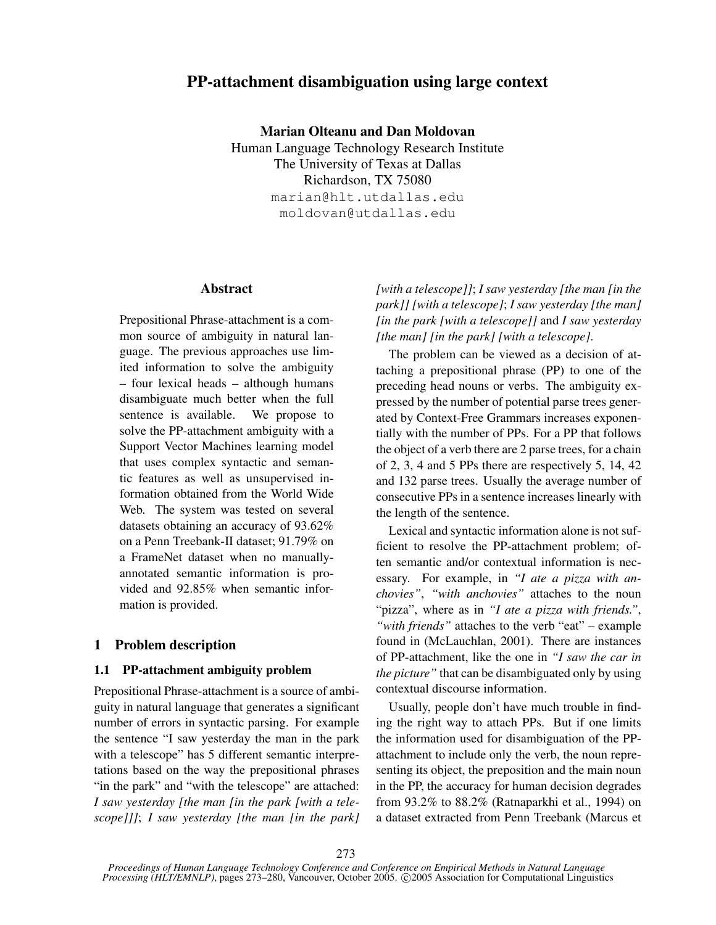# PP-attachment disambiguation using large context

Marian Olteanu and Dan Moldovan

Human Language Technology Research Institute The University of Texas at Dallas Richardson, TX 75080 marian@hlt.utdallas.edu moldovan@utdallas.edu

# Abstract

Prepositional Phrase-attachment is a common source of ambiguity in natural language. The previous approaches use limited information to solve the ambiguity – four lexical heads – although humans disambiguate much better when the full sentence is available. We propose to solve the PP-attachment ambiguity with a Support Vector Machines learning model that uses complex syntactic and semantic features as well as unsupervised information obtained from the World Wide Web. The system was tested on several datasets obtaining an accuracy of 93.62% on a Penn Treebank-II dataset; 91.79% on a FrameNet dataset when no manuallyannotated semantic information is provided and 92.85% when semantic information is provided.

## 1 Problem description

### 1.1 PP-attachment ambiguity problem

Prepositional Phrase-attachment is a source of ambiguity in natural language that generates a significant number of errors in syntactic parsing. For example the sentence "I saw yesterday the man in the park with a telescope" has 5 different semantic interpretations based on the way the prepositional phrases "in the park" and "with the telescope" are attached: *I saw yesterday [the man [in the park [with a telescope]]]*; *I saw yesterday [the man [in the park]*

*[with a telescope]]*; *I saw yesterday [the man [in the park]] [with a telescope]*; *I saw yesterday [the man] [in the park [with a telescope]]* and *I saw yesterday [the man] [in the park] [with a telescope]*.

The problem can be viewed as a decision of attaching a prepositional phrase (PP) to one of the preceding head nouns or verbs. The ambiguity expressed by the number of potential parse trees generated by Context-Free Grammars increases exponentially with the number of PPs. For a PP that follows the object of a verb there are 2 parse trees, for a chain of 2, 3, 4 and 5 PPs there are respectively 5, 14, 42 and 132 parse trees. Usually the average number of consecutive PPs in a sentence increases linearly with the length of the sentence.

Lexical and syntactic information alone is not sufficient to resolve the PP-attachment problem; often semantic and/or contextual information is necessary. For example, in *"I ate a pizza with anchovies"*, *"with anchovies"* attaches to the noun "pizza", where as in *"I ate a pizza with friends."*, *"with friends"* attaches to the verb "eat" – example found in (McLauchlan, 2001). There are instances of PP-attachment, like the one in *"I saw the car in the picture"* that can be disambiguated only by using contextual discourse information.

Usually, people don't have much trouble in finding the right way to attach PPs. But if one limits the information used for disambiguation of the PPattachment to include only the verb, the noun representing its object, the preposition and the main noun in the PP, the accuracy for human decision degrades from 93.2% to 88.2% (Ratnaparkhi et al., 1994) on a dataset extracted from Penn Treebank (Marcus et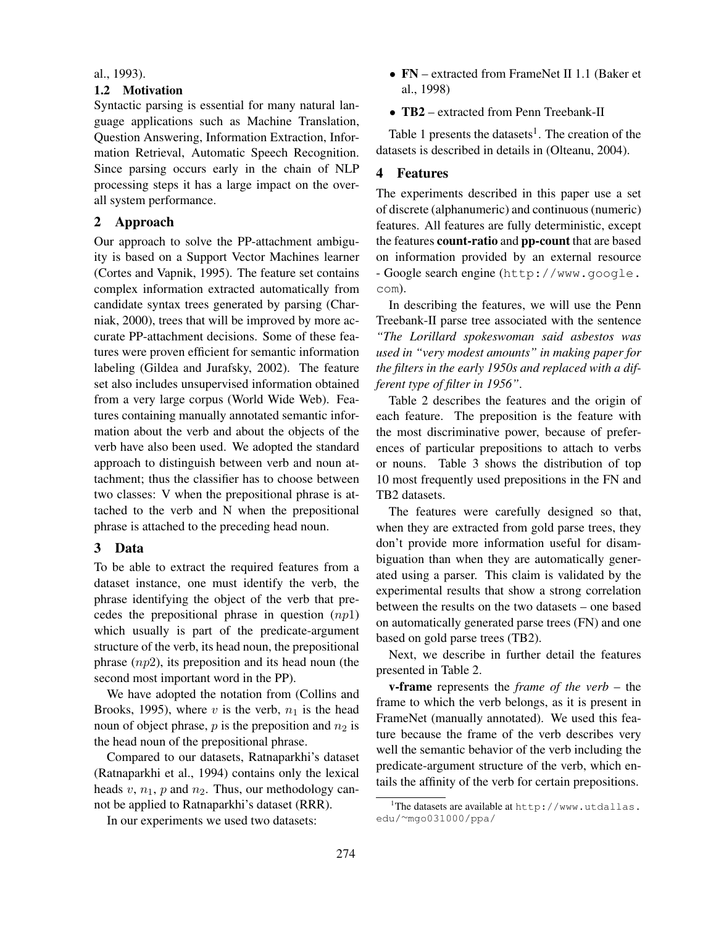#### al., 1993).

# 1.2 Motivation

Syntactic parsing is essential for many natural language applications such as Machine Translation, Question Answering, Information Extraction, Information Retrieval, Automatic Speech Recognition. Since parsing occurs early in the chain of NLP processing steps it has a large impact on the overall system performance.

### 2 Approach

Our approach to solve the PP-attachment ambiguity is based on a Support Vector Machines learner (Cortes and Vapnik, 1995). The feature set contains complex information extracted automatically from candidate syntax trees generated by parsing (Charniak, 2000), trees that will be improved by more accurate PP-attachment decisions. Some of these features were proven efficient for semantic information labeling (Gildea and Jurafsky, 2002). The feature set also includes unsupervised information obtained from a very large corpus (World Wide Web). Features containing manually annotated semantic information about the verb and about the objects of the verb have also been used. We adopted the standard approach to distinguish between verb and noun attachment; thus the classifier has to choose between two classes: V when the prepositional phrase is attached to the verb and N when the prepositional phrase is attached to the preceding head noun.

#### 3 Data

To be able to extract the required features from a dataset instance, one must identify the verb, the phrase identifying the object of the verb that precedes the prepositional phrase in question  $(np1)$ which usually is part of the predicate-argument structure of the verb, its head noun, the prepositional phrase  $(np2)$ , its preposition and its head noun (the second most important word in the PP).

We have adopted the notation from (Collins and Brooks, 1995), where v is the verb,  $n_1$  is the head noun of object phrase,  $p$  is the preposition and  $n_2$  is the head noun of the prepositional phrase.

Compared to our datasets, Ratnaparkhi's dataset (Ratnaparkhi et al., 1994) contains only the lexical heads  $v, n_1, p$  and  $n_2$ . Thus, our methodology cannot be applied to Ratnaparkhi's dataset (RRR).

In our experiments we used two datasets:

- FN extracted from FrameNet II 1.1 (Baker et al., 1998)
- TB2 extracted from Penn Treebank-II

Table 1 presents the datasets<sup>1</sup>. The creation of the datasets is described in details in (Olteanu, 2004).

# 4 Features

The experiments described in this paper use a set of discrete (alphanumeric) and continuous (numeric) features. All features are fully deterministic, except the features count-ratio and pp-count that are based on information provided by an external resource - Google search engine (http://www.google. com).

In describing the features, we will use the Penn Treebank-II parse tree associated with the sentence *"The Lorillard spokeswoman said asbestos was used in "very modest amounts" in making paper for the filters in the early 1950s and replaced with a different type of filter in 1956"*.

Table 2 describes the features and the origin of each feature. The preposition is the feature with the most discriminative power, because of preferences of particular prepositions to attach to verbs or nouns. Table 3 shows the distribution of top 10 most frequently used prepositions in the FN and TB2 datasets.

The features were carefully designed so that, when they are extracted from gold parse trees, they don't provide more information useful for disambiguation than when they are automatically generated using a parser. This claim is validated by the experimental results that show a strong correlation between the results on the two datasets – one based on automatically generated parse trees (FN) and one based on gold parse trees (TB2).

Next, we describe in further detail the features presented in Table 2.

v-frame represents the *frame of the verb* – the frame to which the verb belongs, as it is present in FrameNet (manually annotated). We used this feature because the frame of the verb describes very well the semantic behavior of the verb including the predicate-argument structure of the verb, which entails the affinity of the verb for certain prepositions.

<sup>&</sup>lt;sup>1</sup>The datasets are available at http://www.utdallas. edu/∼mgo031000/ppa/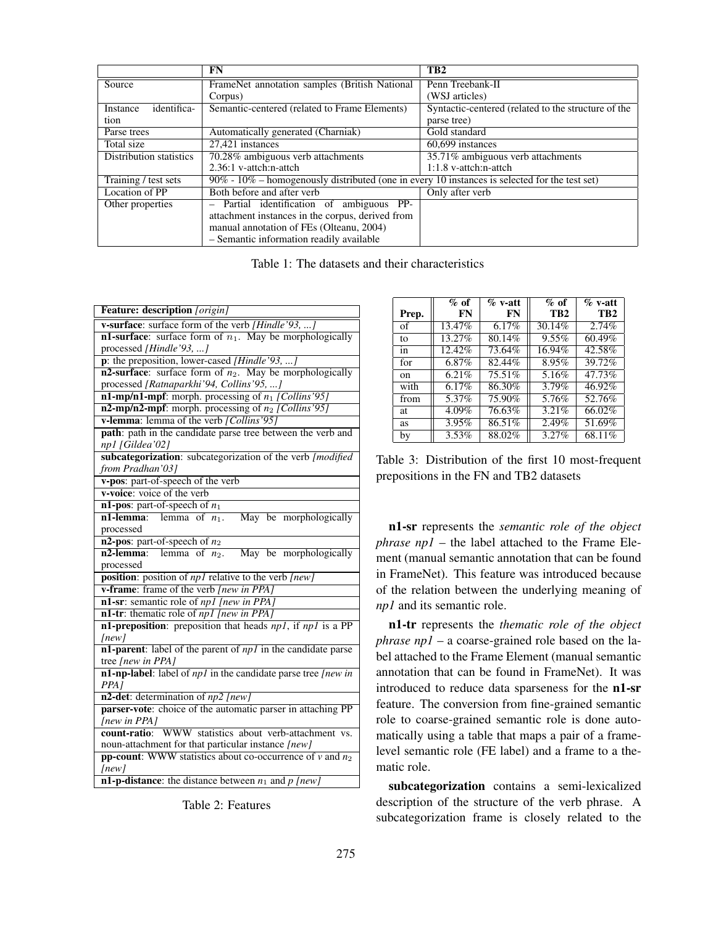|                         | <b>FN</b>                                                                                           | TB <sub>2</sub>                                     |  |
|-------------------------|-----------------------------------------------------------------------------------------------------|-----------------------------------------------------|--|
| Source                  | FrameNet annotation samples (British National                                                       | Penn Treebank-II                                    |  |
|                         | Corpus)                                                                                             | (WSJ articles)                                      |  |
| identifica-<br>Instance | Semantic-centered (related to Frame Elements)                                                       | Syntactic-centered (related to the structure of the |  |
| tion                    |                                                                                                     | parse tree)                                         |  |
| Parse trees             | Automatically generated (Charniak)                                                                  | Gold standard                                       |  |
| Total size              | 27.421 instances                                                                                    | 60,699 instances                                    |  |
| Distribution statistics | 70.28% ambiguous verb attachments                                                                   | 35.71% ambiguous verb attachments                   |  |
|                         | 2.36:1 v-attch:n-attch                                                                              | $1:1.8$ v-attch:n-attch                             |  |
| Training / test sets    | $90\%$ - $10\%$ – homogenously distributed (one in every 10 instances is selected for the test set) |                                                     |  |
| Location of PP          | Both before and after verb                                                                          | Only after verb                                     |  |
| Other properties        | Partial identification of ambiguous PP-                                                             |                                                     |  |
|                         | attachment instances in the corpus, derived from                                                    |                                                     |  |
|                         | manual annotation of FEs (Olteanu, 2004)                                                            |                                                     |  |
|                         | - Semantic information readily available                                                            |                                                     |  |

Table 1: The datasets and their characteristics

| <b>Feature: description</b> [origin]                                   |  |  |
|------------------------------------------------------------------------|--|--|
| v-surface: surface form of the verb [Hindle'93, ]                      |  |  |
| <b>n1-surface:</b> surface form of $n_1$ . May be morphologically      |  |  |
| processed [Hindle'93, ]                                                |  |  |
| p: the preposition, lower-cased [Hindle'93, ]                          |  |  |
| n2-surface: surface form of $n_2$ . May be morphologically             |  |  |
| processed [Ratnaparkhi'94, Collins'95, ]                               |  |  |
| $n1$ -mp/n1-mpf: morph. processing of $n_1$ [Collins'95]               |  |  |
| n2-mp/n2-mpf: morph. processing of $n_2$ [Collins'95]                  |  |  |
| v-lemma: lemma of the verb [Collins'95]                                |  |  |
| path: path in the candidate parse tree between the verb and            |  |  |
| np1 [Gildea'02]                                                        |  |  |
| subcategorization: subcategorization of the verb [modified]            |  |  |
| from Pradhan'031                                                       |  |  |
| v-pos: part-of-speech of the verb                                      |  |  |
| v-voice: voice of the verb                                             |  |  |
| n1-pos: part-of-speech of $n_1$                                        |  |  |
| <b>n1-lemma:</b> lemma of $n_1$ .<br>May be morphologically            |  |  |
| processed                                                              |  |  |
| n2-pos: part-of-speech of $n_2$                                        |  |  |
| May be morphologically<br>$n2$ -lemma:<br>lemma of $n_2$ .             |  |  |
| processed                                                              |  |  |
| <b>position</b> : position of $npI$ relative to the verb [new]         |  |  |
| v-frame: frame of the verb [new in PPA]                                |  |  |
| n1-sr: semantic role of np1 [new in PPA]                               |  |  |
| n1-tr: thematic role of <i>np1</i> [new in PPA]                        |  |  |
| n1-preposition: preposition that heads $np1$ , if $np1$ is a PP        |  |  |
| [new]                                                                  |  |  |
| $n1$ -parent: label of the parent of $np1$ in the candidate parse      |  |  |
| tree [new in PPA]                                                      |  |  |
| n1-np-label: label of $np1$ in the candidate parse tree [new in        |  |  |
| PPA I                                                                  |  |  |
| $n2$ -det: determination of $np2$ [new]                                |  |  |
| parser-vote: choice of the automatic parser in attaching PP            |  |  |
| [new in PPA]                                                           |  |  |
| WWW statistics about verb-attachment vs.<br>count-ratio:               |  |  |
| noun-attachment for that particular instance [new]                     |  |  |
| <b>pp-count:</b> WWW statistics about co-occurrence of $\nu$ and $n_2$ |  |  |
| [new]                                                                  |  |  |
| <b>n1-p-distance</b> : the distance between $n_1$ and $p$ [new]        |  |  |

Table 2: Features

|         | $%$ of | $\%$ v-att | $%$ of          | $\%$ v-att      |
|---------|--------|------------|-----------------|-----------------|
| Prep.   | FN     | <b>FN</b>  | TB <sub>2</sub> | TB <sub>2</sub> |
| of      | 13.47% | 6.17%      | 30.14%          | 2.74%           |
| to      | 13.27% | 80.14%     | $9.55\%$        | 60.49%          |
| in      | 12.42% | 73.64%     | 16.94%          | 42.58%          |
| for     | 6.87%  | 82.44%     | 8.95%           | 39.72%          |
| $^{on}$ | 6.21%  | 75.51%     | 5.16%           | 47.73%          |
| with    | 6.17%  | 86.30%     | 3.79%           | 46.92%          |
| from    | 5.37%  | 75.90%     | 5.76%           | 52.76%          |
| at      | 4.09%  | 76.63%     | 3.21%           | 66.02%          |
| as      | 3.95%  | 86.51%     | 2.49%           | 51.69%          |
| by      | 3.53%  | 88.02%     | 3.27%           | 68.11%          |

Table 3: Distribution of the first 10 most-frequent prepositions in the FN and TB2 datasets

n1-sr represents the *semantic role of the object phrase np1* – the label attached to the Frame Element (manual semantic annotation that can be found in FrameNet). This feature was introduced because of the relation between the underlying meaning of *np1* and its semantic role.

n1-tr represents the *thematic role of the object phrase np1* – a coarse-grained role based on the label attached to the Frame Element (manual semantic annotation that can be found in FrameNet). It was introduced to reduce data sparseness for the n1-sr feature. The conversion from fine-grained semantic role to coarse-grained semantic role is done automatically using a table that maps a pair of a framelevel semantic role (FE label) and a frame to a thematic role.

subcategorization contains a semi-lexicalized description of the structure of the verb phrase. A subcategorization frame is closely related to the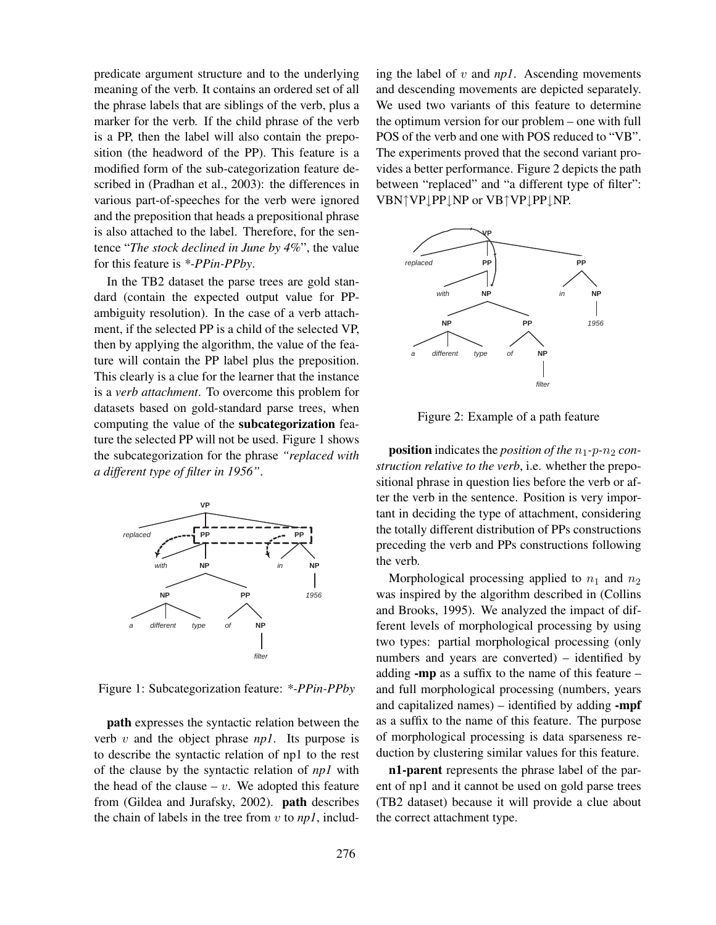predicate argument structure and to the underlying meaning of the verb. It contains an ordered set of all the phrase labels that are siblings of the verb, plus a marker for the verb. If the child phrase of the verb is a PP, then the label will also contain the preposition (the headword of the PP). This feature is a modified form of the sub-categorization feature described in (Pradhan et al., 2003): the differences in various part-of-speeches for the verb were ignored and the preposition that heads a prepositional phrase is also attached to the label. Therefore, for the sentence "*The stock declined in June by 4%*", the value for this feature is *\*-PPin-PPby*.

In the TB2 dataset the parse trees are gold standard (contain the expected output value for PPambiguity resolution). In the case of a verb attachment, if the selected PP is a child of the selected VP, then by applying the algorithm, the value of the feature will contain the PP label plus the preposition. This clearly is a clue for the learner that the instance is a *verb attachment*. To overcome this problem for datasets based on gold-standard parse trees, when computing the value of the subcategorization feature the selected PP will not be used. Figure 1 shows the subcategorization for the phrase *"replaced with a different type of filter in 1956"*.



Figure 1: Subcategorization feature: *\*-PPin-PPby*

path expresses the syntactic relation between the verb v and the object phrase *np1*. Its purpose is to describe the syntactic relation of np1 to the rest of the clause by the syntactic relation of *np1* with the head of the clause –  $v$ . We adopted this feature from (Gildea and Jurafsky, 2002). path describes the chain of labels in the tree from v to *np1*, including the label of v and *np1*. Ascending movements and descending movements are depicted separately. We used two variants of this feature to determine the optimum version for our problem – one with full POS of the verb and one with POS reduced to "VB". The experiments proved that the second variant provides a better performance. Figure 2 depicts the path between "replaced" and "a different type of filter": VBN↑VP↓PP↓NP or VB↑VP↓PP↓NP.



Figure 2: Example of a path feature

position indicates the *position of the*  $n_1$ -*p*- $n_2$  *construction relative to the verb*, i.e. whether the prepositional phrase in question lies before the verb or after the verb in the sentence. Position is very important in deciding the type of attachment, considering the totally different distribution of PPs constructions preceding the verb and PPs constructions following the verb.

Morphological processing applied to  $n_1$  and  $n_2$ was inspired by the algorithm described in (Collins and Brooks, 1995). We analyzed the impact of different levels of morphological processing by using two types: partial morphological processing (only numbers and years are converted) – identified by adding -mp as a suffix to the name of this feature – and full morphological processing (numbers, years and capitalized names) – identified by adding  $\text{-mpf}$ as a suffix to the name of this feature. The purpose of morphological processing is data sparseness reduction by clustering similar values for this feature.

n1-parent represents the phrase label of the parent of np1 and it cannot be used on gold parse trees (TB2 dataset) because it will provide a clue about the correct attachment type.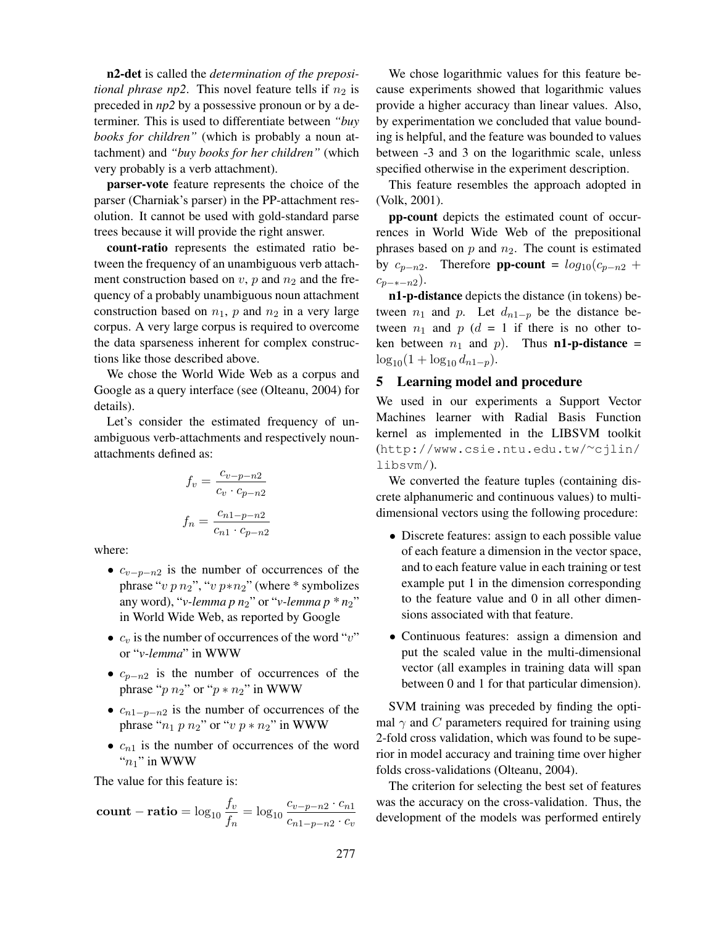n2-det is called the *determination of the prepositional phrase np2*. This novel feature tells if  $n_2$  is preceded in *np2* by a possessive pronoun or by a determiner. This is used to differentiate between *"buy books for children"* (which is probably a noun attachment) and *"buy books for her children"* (which very probably is a verb attachment).

parser-vote feature represents the choice of the parser (Charniak's parser) in the PP-attachment resolution. It cannot be used with gold-standard parse trees because it will provide the right answer.

count-ratio represents the estimated ratio between the frequency of an unambiguous verb attachment construction based on  $v$ ,  $p$  and  $n_2$  and the frequency of a probably unambiguous noun attachment construction based on  $n_1$ , p and  $n_2$  in a very large corpus. A very large corpus is required to overcome the data sparseness inherent for complex constructions like those described above.

We chose the World Wide Web as a corpus and Google as a query interface (see (Olteanu, 2004) for details).

Let's consider the estimated frequency of unambiguous verb-attachments and respectively nounattachments defined as:

$$
f_v = \frac{c_{v-p-n2}}{c_v \cdot c_{p-n2}}
$$

$$
f_n = \frac{c_{n1-p-n2}}{c_{n1} \cdot c_{p-n2}}
$$

where:

- $c_{v-p-n2}$  is the number of occurrences of the phrase "v  $p n_2$ ", "v  $p * n_2$ " (where \* symbolizes any word), "*v*-lemma p  $n_2$ " or "*v*-lemma p  $n_2$ " in World Wide Web, as reported by Google
- $c_v$  is the number of occurrences of the word "v" or "*v-lemma*" in WWW
- $c_{p-n2}$  is the number of occurrences of the phrase " $p n_2$ " or " $p * n_2$ " in WWW
- $c_{n1-p-n2}$  is the number of occurrences of the phrase " $n_1$  p  $n_2$ " or "v  $p * n_2$ " in WWW
- $c_{n1}$  is the number of occurrences of the word " $n_1$ " in WWW

The value for this feature is:

**count - ratio =** 
$$
\log_{10} \frac{f_v}{f_n} = \log_{10} \frac{c_{v-p-n2} \cdot c_{n1}}{c_{n1-p-n2} \cdot c_v}
$$

We chose logarithmic values for this feature because experiments showed that logarithmic values provide a higher accuracy than linear values. Also, by experimentation we concluded that value bounding is helpful, and the feature was bounded to values between -3 and 3 on the logarithmic scale, unless specified otherwise in the experiment description.

This feature resembles the approach adopted in (Volk, 2001).

pp-count depicts the estimated count of occurrences in World Wide Web of the prepositional phrases based on  $p$  and  $n_2$ . The count is estimated by  $c_{p-n2}$ . Therefore **pp-count** =  $log_{10}(c_{p-n2} +$  $c_{p-*-n2}$ ).

n1-p-distance depicts the distance (in tokens) between  $n_1$  and  $p$ . Let  $d_{n1-p}$  be the distance between  $n_1$  and  $p$  ( $d = 1$  if there is no other token between  $n_1$  and  $p$ ). Thus **n1-p-distance** =  $\log_{10}(1 + \log_{10} d_{n1-p}).$ 

# 5 Learning model and procedure

We used in our experiments a Support Vector Machines learner with Radial Basis Function kernel as implemented in the LIBSVM toolkit (http://www.csie.ntu.edu.tw/∼cjlin/ libsvm/).

We converted the feature tuples (containing discrete alphanumeric and continuous values) to multidimensional vectors using the following procedure:

- Discrete features: assign to each possible value of each feature a dimension in the vector space, and to each feature value in each training or test example put 1 in the dimension corresponding to the feature value and 0 in all other dimensions associated with that feature.
- Continuous features: assign a dimension and put the scaled value in the multi-dimensional vector (all examples in training data will span between 0 and 1 for that particular dimension).

SVM training was preceded by finding the optimal  $\gamma$  and C parameters required for training using 2-fold cross validation, which was found to be superior in model accuracy and training time over higher folds cross-validations (Olteanu, 2004).

The criterion for selecting the best set of features was the accuracy on the cross-validation. Thus, the development of the models was performed entirely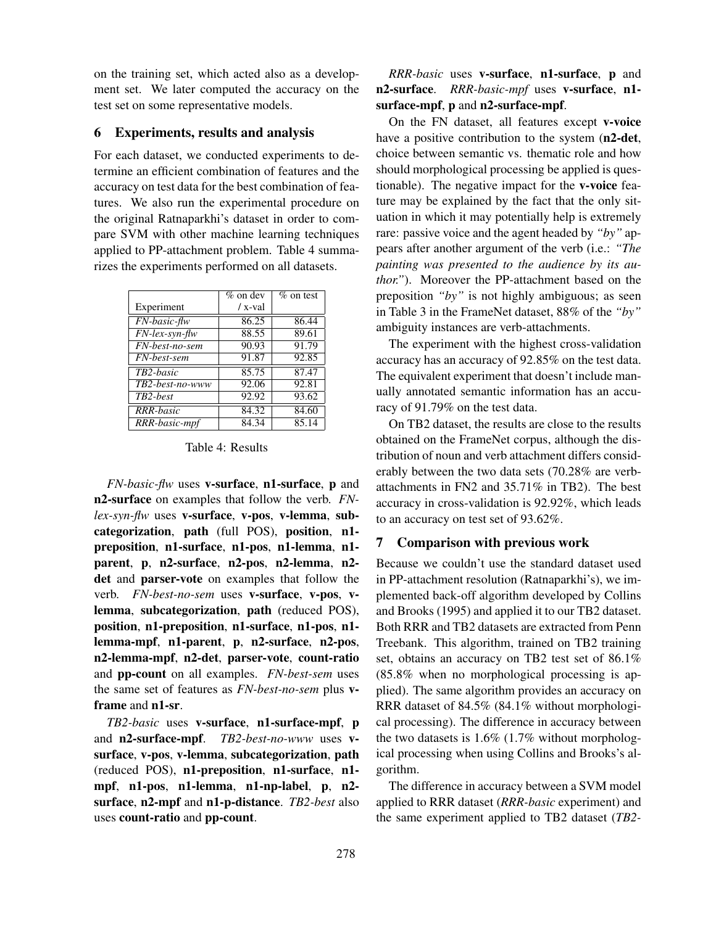on the training set, which acted also as a development set. We later computed the accuracy on the test set on some representative models.

### 6 Experiments, results and analysis

For each dataset, we conducted experiments to determine an efficient combination of features and the accuracy on test data for the best combination of features. We also run the experimental procedure on the original Ratnaparkhi's dataset in order to compare SVM with other machine learning techniques applied to PP-attachment problem. Table 4 summarizes the experiments performed on all datasets.

|                                                | $%$ on dev | $%$ on test |
|------------------------------------------------|------------|-------------|
| Experiment                                     | / x-val    |             |
| $\overline{FN\text{-}basic\text{-}}\text{ftw}$ | 86.25      | 86.44       |
| $FN$ -lex-syn-flw                              | 88.55      | 89.61       |
| $\overline{FN}$ -best-no-sem                   | 90.93      | 91.79       |
| FN-best-sem                                    | 91.87      | 92.85       |
| TB2-basic                                      | 85.75      | 87.47       |
| TB2-best-no-www                                | 92.06      | 92.81       |
| TB2-best                                       | 92.92      | 93.62       |
| <b>RRR-basic</b>                               | 84.32      | 84.60       |
| RRR-basic-mpf                                  | 84.34      | 85.14       |

Table 4: Results

*FN-basic-flw* uses v-surface, n1-surface, p and n2-surface on examples that follow the verb. *FNlex-syn-flw* uses v-surface, v-pos, v-lemma, subcategorization, path (full POS), position, n1 preposition, n1-surface, n1-pos, n1-lemma, n1 parent, p, n2-surface, n2-pos, n2-lemma, n2 det and parser-vote on examples that follow the verb. *FN-best-no-sem* uses v-surface, v-pos, vlemma, subcategorization, path (reduced POS), position, n1-preposition, n1-surface, n1-pos, n1 lemma-mpf, n1-parent, p, n2-surface, n2-pos, n2-lemma-mpf, n2-det, parser-vote, count-ratio and pp-count on all examples. *FN-best-sem* uses the same set of features as *FN-best-no-sem* plus vframe and n1-sr.

*TB2-basic* uses v-surface, n1-surface-mpf, p and n2-surface-mpf. *TB2-best-no-www* uses vsurface, v-pos, v-lemma, subcategorization, path (reduced POS), n1-preposition, n1-surface, n1 mpf, n1-pos, n1-lemma, n1-np-label, p, n2 surface, n2-mpf and n1-p-distance. *TB2-best* also uses count-ratio and pp-count.

*RRR-basic* uses v-surface, n1-surface, p and n2-surface. *RRR-basic-mpf* uses v-surface, n1 surface-mpf, p and n2-surface-mpf.

On the FN dataset, all features except v-voice have a positive contribution to the system (n2-det, choice between semantic vs. thematic role and how should morphological processing be applied is questionable). The negative impact for the v-voice feature may be explained by the fact that the only situation in which it may potentially help is extremely rare: passive voice and the agent headed by *"by"* appears after another argument of the verb (i.e.: *"The painting was presented to the audience by its author."*). Moreover the PP-attachment based on the preposition *"by"* is not highly ambiguous; as seen in Table 3 in the FrameNet dataset, 88% of the *"by"* ambiguity instances are verb-attachments.

The experiment with the highest cross-validation accuracy has an accuracy of 92.85% on the test data. The equivalent experiment that doesn't include manually annotated semantic information has an accuracy of 91.79% on the test data.

On TB2 dataset, the results are close to the results obtained on the FrameNet corpus, although the distribution of noun and verb attachment differs considerably between the two data sets (70.28% are verbattachments in FN2 and 35.71% in TB2). The best accuracy in cross-validation is 92.92%, which leads to an accuracy on test set of 93.62%.

# 7 Comparison with previous work

Because we couldn't use the standard dataset used in PP-attachment resolution (Ratnaparkhi's), we implemented back-off algorithm developed by Collins and Brooks (1995) and applied it to our TB2 dataset. Both RRR and TB2 datasets are extracted from Penn Treebank. This algorithm, trained on TB2 training set, obtains an accuracy on TB2 test set of 86.1% (85.8% when no morphological processing is applied). The same algorithm provides an accuracy on RRR dataset of 84.5% (84.1% without morphological processing). The difference in accuracy between the two datasets is 1.6% (1.7% without morphological processing when using Collins and Brooks's algorithm.

The difference in accuracy between a SVM model applied to RRR dataset (*RRR-basic* experiment) and the same experiment applied to TB2 dataset (*TB2-*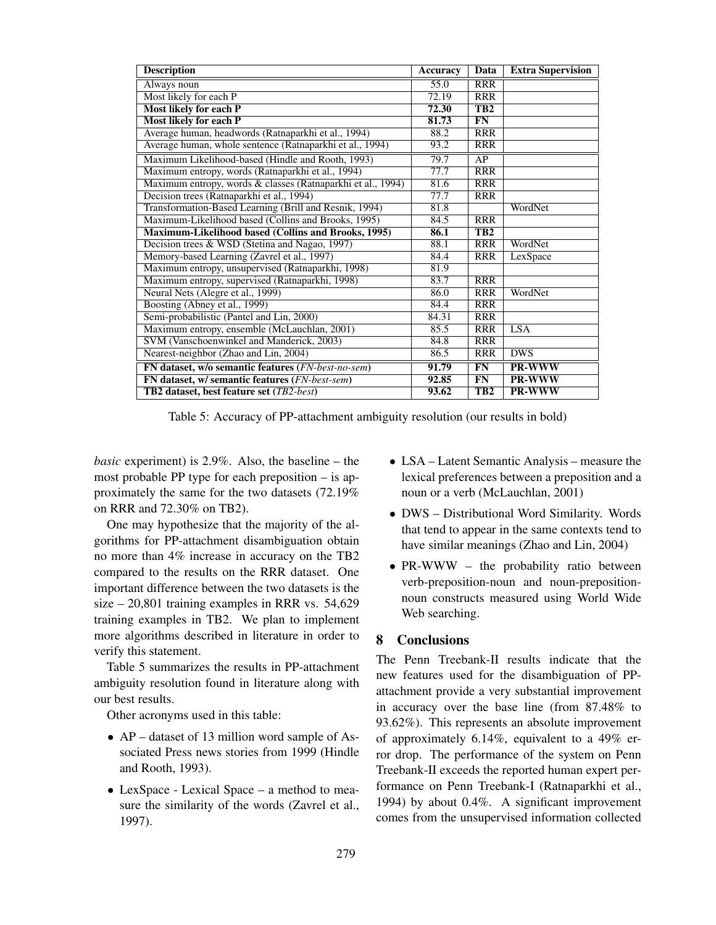| <b>Description</b>                                          | <b>Accuracy</b> | Data            | <b>Extra Supervision</b> |
|-------------------------------------------------------------|-----------------|-----------------|--------------------------|
| Always noun                                                 | 55.0            | <b>RRR</b>      |                          |
| Most likely for each P                                      | 72.19           | <b>RRR</b>      |                          |
| <b>Most likely for each P</b>                               | 72.30           | TB <sub>2</sub> |                          |
| <b>Most likely for each P</b>                               | 81.73           | FN              |                          |
| Average human, headwords (Ratnaparkhi et al., 1994)         | 88.2            | <b>RRR</b>      |                          |
| Average human, whole sentence (Ratnaparkhi et al., 1994)    | 93.2            | <b>RRR</b>      |                          |
| Maximum Likelihood-based (Hindle and Rooth, 1993)           | 79.7            | AP              |                          |
| Maximum entropy, words (Ratnaparkhi et al., 1994)           | 77.7            | <b>RRR</b>      |                          |
| Maximum entropy, words & classes (Ratnaparkhi et al., 1994) | 81.6            | <b>RRR</b>      |                          |
| Decision trees (Ratnaparkhi et al., 1994)                   | 77.7            | <b>RRR</b>      |                          |
| Transformation-Based Learning (Brill and Resnik, 1994)      | 81.8            |                 | WordNet                  |
| Maximum-Likelihood based (Collins and Brooks, 1995)         | 84.5            | <b>RRR</b>      |                          |
| Maximum-Likelihood based (Collins and Brooks, 1995)         | 86.1            | TB <sub>2</sub> |                          |
| Decision trees & WSD (Stetina and Nagao, 1997)              | 88.1            | <b>RRR</b>      | WordNet                  |
| Memory-based Learning (Zavrel et al., 1997)                 | 84.4            | <b>RRR</b>      | LexSpace                 |
| Maximum entropy, unsupervised (Ratnaparkhi, 1998)           | 81.9            |                 |                          |
| Maximum entropy, supervised (Ratnaparkhi, 1998)             | 83.7            | <b>RRR</b>      |                          |
| Neural Nets (Alegre et al., 1999)                           | 86.0            | <b>RRR</b>      | WordNet                  |
| Boosting (Abney et al., 1999)                               | 84.4            | <b>RRR</b>      |                          |
| Semi-probabilistic (Pantel and Lin, 2000)                   | 84.31           | <b>RRR</b>      |                          |
| Maximum entropy, ensemble (McLauchlan, 2001)                | 85.5            | <b>RRR</b>      | <b>LSA</b>               |
| SVM (Vanschoenwinkel and Manderick, 2003)                   | 84.8            | <b>RRR</b>      |                          |
| Nearest-neighbor (Zhao and Lin, 2004)                       | 86.5            | <b>RRR</b>      | <b>DWS</b>               |
| FN dataset, w/o semantic features (FN-best-no-sem)          | 91.79           | FN              | PR-WWW                   |
| FN dataset, w/ semantic features (FN-best-sem)              | 92.85           | FN              | PR-WWW                   |
| <b>TB2</b> dataset, best feature set ( <i>TB2-best</i> )    | 93.62           | TB <sub>2</sub> | <b>PR-WWW</b>            |

Table 5: Accuracy of PP-attachment ambiguity resolution (our results in bold)

*basic* experiment) is 2.9%. Also, the baseline – the most probable PP type for each preposition – is approximately the same for the two datasets (72.19% on RRR and 72.30% on TB2).

One may hypothesize that the majority of the algorithms for PP-attachment disambiguation obtain no more than 4% increase in accuracy on the TB2 compared to the results on the RRR dataset. One important difference between the two datasets is the size – 20,801 training examples in RRR vs. 54,629 training examples in TB2. We plan to implement more algorithms described in literature in order to verify this statement.

Table 5 summarizes the results in PP-attachment ambiguity resolution found in literature along with our best results.

Other acronyms used in this table:

- AP dataset of 13 million word sample of Associated Press news stories from 1999 (Hindle and Rooth, 1993).
- LexSpace Lexical Space a method to measure the similarity of the words (Zavrel et al., 1997).
- LSA Latent Semantic Analysis measure the lexical preferences between a preposition and a noun or a verb (McLauchlan, 2001)
- DWS Distributional Word Similarity. Words that tend to appear in the same contexts tend to have similar meanings (Zhao and Lin, 2004)
- PR-WWW the probability ratio between verb-preposition-noun and noun-prepositionnoun constructs measured using World Wide Web searching.

## 8 Conclusions

The Penn Treebank-II results indicate that the new features used for the disambiguation of PPattachment provide a very substantial improvement in accuracy over the base line (from 87.48% to 93.62%). This represents an absolute improvement of approximately 6.14%, equivalent to a 49% error drop. The performance of the system on Penn Treebank-II exceeds the reported human expert performance on Penn Treebank-I (Ratnaparkhi et al., 1994) by about 0.4%. A significant improvement comes from the unsupervised information collected